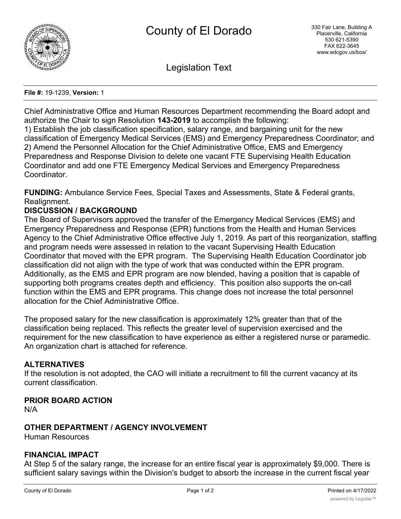

Legislation Text

#### **File #:** 19-1239, **Version:** 1

Chief Administrative Office and Human Resources Department recommending the Board adopt and authorize the Chair to sign Resolution **143-2019** to accomplish the following:

1) Establish the job classification specification, salary range, and bargaining unit for the new classification of Emergency Medical Services (EMS) and Emergency Preparedness Coordinator; and 2) Amend the Personnel Allocation for the Chief Administrative Office, EMS and Emergency Preparedness and Response Division to delete one vacant FTE Supervising Health Education Coordinator and add one FTE Emergency Medical Services and Emergency Preparedness Coordinator.

**FUNDING:** Ambulance Service Fees, Special Taxes and Assessments, State & Federal grants, Realignment.

## **DISCUSSION / BACKGROUND**

The Board of Supervisors approved the transfer of the Emergency Medical Services (EMS) and Emergency Preparedness and Response (EPR) functions from the Health and Human Services Agency to the Chief Administrative Office effective July 1, 2019. As part of this reorganization, staffing and program needs were assessed in relation to the vacant Supervising Health Education Coordinator that moved with the EPR program. The Supervising Health Education Coordinator job classification did not align with the type of work that was conducted within the EPR program. Additionally, as the EMS and EPR program are now blended, having a position that is capable of supporting both programs creates depth and efficiency. This position also supports the on-call function within the EMS and EPR programs. This change does not increase the total personnel allocation for the Chief Administrative Office.

The proposed salary for the new classification is approximately 12% greater than that of the classification being replaced. This reflects the greater level of supervision exercised and the requirement for the new classification to have experience as either a registered nurse or paramedic. An organization chart is attached for reference.

## **ALTERNATIVES**

If the resolution is not adopted, the CAO will initiate a recruitment to fill the current vacancy at its current classification.

## **PRIOR BOARD ACTION**

N/A

### **OTHER DEPARTMENT / AGENCY INVOLVEMENT**

Human Resources

## **FINANCIAL IMPACT**

At Step 5 of the salary range, the increase for an entire fiscal year is approximately \$9,000. There is sufficient salary savings within the Division's budget to absorb the increase in the current fiscal year